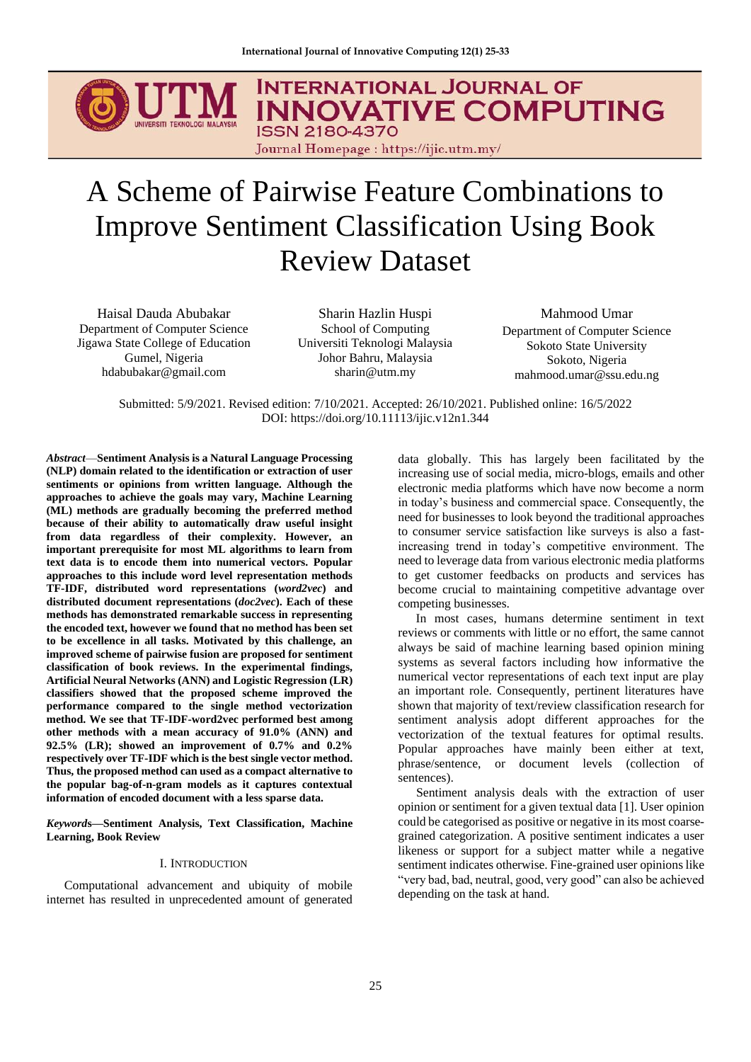**INTERNATIONAL JOURNAL OF INNOVATIVE COMPUTING ISSN 2180-4370** 

Journal Homepage: https://ijic.utm.my/

# A Scheme of Pairwise Feature Combinations to Improve Sentiment Classification Using Book Review Dataset

Haisal Dauda Abubakar Department of Computer Science Jigawa State College of Education Gumel, Nigeria hdabubakar@gmail.com

Sharin Hazlin Huspi School of Computing Universiti Teknologi Malaysia Johor Bahru, Malaysia sharin@utm.my

Mahmood Umar Department of Computer Science Sokoto State University Sokoto, Nigeria mahmood.umar@ssu.edu.ng

Submitted: 5/9/2021. Revised edition: 7/10/2021. Accepted: 26/10/2021. Published online: 16/5/2022 DOI: https://doi.org/10.11113/ijic.v12n1.344

*Abstract*—**Sentiment Analysis is a Natural Language Processing (NLP) domain related to the identification or extraction of user sentiments or opinions from written language. Although the approaches to achieve the goals may vary, Machine Learning (ML) methods are gradually becoming the preferred method because of their ability to automatically draw useful insight from data regardless of their complexity. However, an important prerequisite for most ML algorithms to learn from text data is to encode them into numerical vectors. Popular approaches to this include word level representation methods TF-IDF, distributed word representations (***word2vec***) and distributed document representations (***doc2vec***). Each of these methods has demonstrated remarkable success in representing the encoded text, however we found that no method has been set to be excellence in all tasks. Motivated by this challenge, an improved scheme of pairwise fusion are proposed for sentiment classification of book reviews. In the experimental findings, Artificial Neural Networks (ANN) and Logistic Regression (LR) classifiers showed that the proposed scheme improved the performance compared to the single method vectorization method. We see that TF-IDF-word2vec performed best among other methods with a mean accuracy of 91.0% (ANN) and 92.5% (LR); showed an improvement of 0.7% and 0.2% respectively over TF-IDF which is the best single vector method. Thus, the proposed method can used as a compact alternative to the popular bag-of-n-gram models as it captures contextual information of encoded document with a less sparse data.**

*Keyword***s—Sentiment Analysis, Text Classification, Machine Learning, Book Review**

## I. INTRODUCTION

Computational advancement and ubiquity of mobile internet has resulted in unprecedented amount of generated data globally. This has largely been facilitated by the increasing use of social media, micro-blogs, emails and other electronic media platforms which have now become a norm in today's business and commercial space. Consequently, the need for businesses to look beyond the traditional approaches to consumer service satisfaction like surveys is also a fastincreasing trend in today's competitive environment. The need to leverage data from various electronic media platforms to get customer feedbacks on products and services has become crucial to maintaining competitive advantage over competing businesses.

In most cases, humans determine sentiment in text reviews or comments with little or no effort, the same cannot always be said of machine learning based opinion mining systems as several factors including how informative the numerical vector representations of each text input are play an important role. Consequently, pertinent literatures have shown that majority of text/review classification research for sentiment analysis adopt different approaches for the vectorization of the textual features for optimal results. Popular approaches have mainly been either at text, phrase/sentence, or document levels (collection of sentences).

Sentiment analysis deals with the extraction of user opinion or sentiment for a given textual data [1]. User opinion could be categorised as positive or negative in its most coarsegrained categorization. A positive sentiment indicates a user likeness or support for a subject matter while a negative sentiment indicates otherwise. Fine-grained user opinions like "very bad, bad, neutral, good, very good" can also be achieved depending on the task at hand.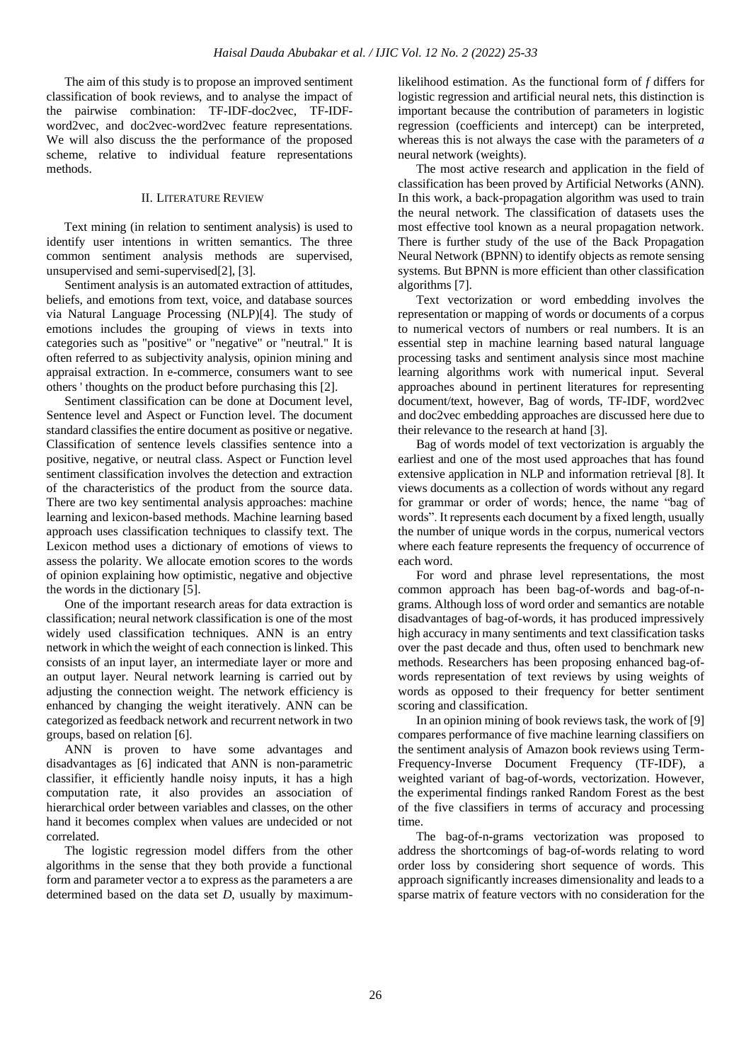The aim of this study is to propose an improved sentiment classification of book reviews, and to analyse the impact of the pairwise combination: TF-IDF-doc2vec, TF-IDFword2vec, and doc2vec-word2vec feature representations. We will also discuss the the performance of the proposed scheme, relative to individual feature representations methods.

## II. LITERATURE REVIEW

Text mining (in relation to sentiment analysis) is used to identify user intentions in written semantics. The three common sentiment analysis methods are supervised, unsupervised and semi-supervised[2], [3].

Sentiment analysis is an automated extraction of attitudes, beliefs, and emotions from text, voice, and database sources via Natural Language Processing (NLP)[4]. The study of emotions includes the grouping of views in texts into categories such as "positive" or "negative" or "neutral." It is often referred to as subjectivity analysis, opinion mining and appraisal extraction. In e-commerce, consumers want to see others ' thoughts on the product before purchasing this [2].

Sentiment classification can be done at Document level, Sentence level and Aspect or Function level. The document standard classifies the entire document as positive or negative. Classification of sentence levels classifies sentence into a positive, negative, or neutral class. Aspect or Function level sentiment classification involves the detection and extraction of the characteristics of the product from the source data. There are two key sentimental analysis approaches: machine learning and lexicon-based methods. Machine learning based approach uses classification techniques to classify text. The Lexicon method uses a dictionary of emotions of views to assess the polarity. We allocate emotion scores to the words of opinion explaining how optimistic, negative and objective the words in the dictionary [5].

One of the important research areas for data extraction is classification; neural network classification is one of the most widely used classification techniques. ANN is an entry network in which the weight of each connection is linked. This consists of an input layer, an intermediate layer or more and an output layer. Neural network learning is carried out by adjusting the connection weight. The network efficiency is enhanced by changing the weight iteratively. ANN can be categorized as feedback network and recurrent network in two groups, based on relation [6].

ANN is proven to have some advantages and disadvantages as [6] indicated that ANN is non-parametric classifier, it efficiently handle noisy inputs, it has a high computation rate, it also provides an association of hierarchical order between variables and classes, on the other hand it becomes complex when values are undecided or not correlated.

The logistic regression model differs from the other algorithms in the sense that they both provide a functional form and parameter vector a to express as the parameters a are determined based on the data set *D*, usually by maximumlikelihood estimation. As the functional form of *f* differs for logistic regression and artificial neural nets, this distinction is important because the contribution of parameters in logistic regression (coefficients and intercept) can be interpreted, whereas this is not always the case with the parameters of *a* neural network (weights).

The most active research and application in the field of classification has been proved by Artificial Networks (ANN). In this work, a back-propagation algorithm was used to train the neural network. The classification of datasets uses the most effective tool known as a neural propagation network. There is further study of the use of the Back Propagation Neural Network (BPNN) to identify objects as remote sensing systems. But BPNN is more efficient than other classification algorithms [7].

Text vectorization or word embedding involves the representation or mapping of words or documents of a corpus to numerical vectors of numbers or real numbers. It is an essential step in machine learning based natural language processing tasks and sentiment analysis since most machine learning algorithms work with numerical input. Several approaches abound in pertinent literatures for representing document/text, however, Bag of words, TF-IDF, word2vec and doc2vec embedding approaches are discussed here due to their relevance to the research at hand [3].

Bag of words model of text vectorization is arguably the earliest and one of the most used approaches that has found extensive application in NLP and information retrieval [8]. It views documents as a collection of words without any regard for grammar or order of words; hence, the name "bag of words". It represents each document by a fixed length, usually the number of unique words in the corpus, numerical vectors where each feature represents the frequency of occurrence of each word.

For word and phrase level representations, the most common approach has been bag-of-words and bag-of-ngrams. Although loss of word order and semantics are notable disadvantages of bag-of-words, it has produced impressively high accuracy in many sentiments and text classification tasks over the past decade and thus, often used to benchmark new methods. Researchers has been proposing enhanced bag-ofwords representation of text reviews by using weights of words as opposed to their frequency for better sentiment scoring and classification.

In an opinion mining of book reviews task, the work of [9] compares performance of five machine learning classifiers on the sentiment analysis of Amazon book reviews using Term-Frequency-Inverse Document Frequency (TF-IDF), a weighted variant of bag-of-words, vectorization. However, the experimental findings ranked Random Forest as the best of the five classifiers in terms of accuracy and processing time.

The bag-of-n-grams vectorization was proposed to address the shortcomings of bag-of-words relating to word order loss by considering short sequence of words. This approach significantly increases dimensionality and leads to a sparse matrix of feature vectors with no consideration for the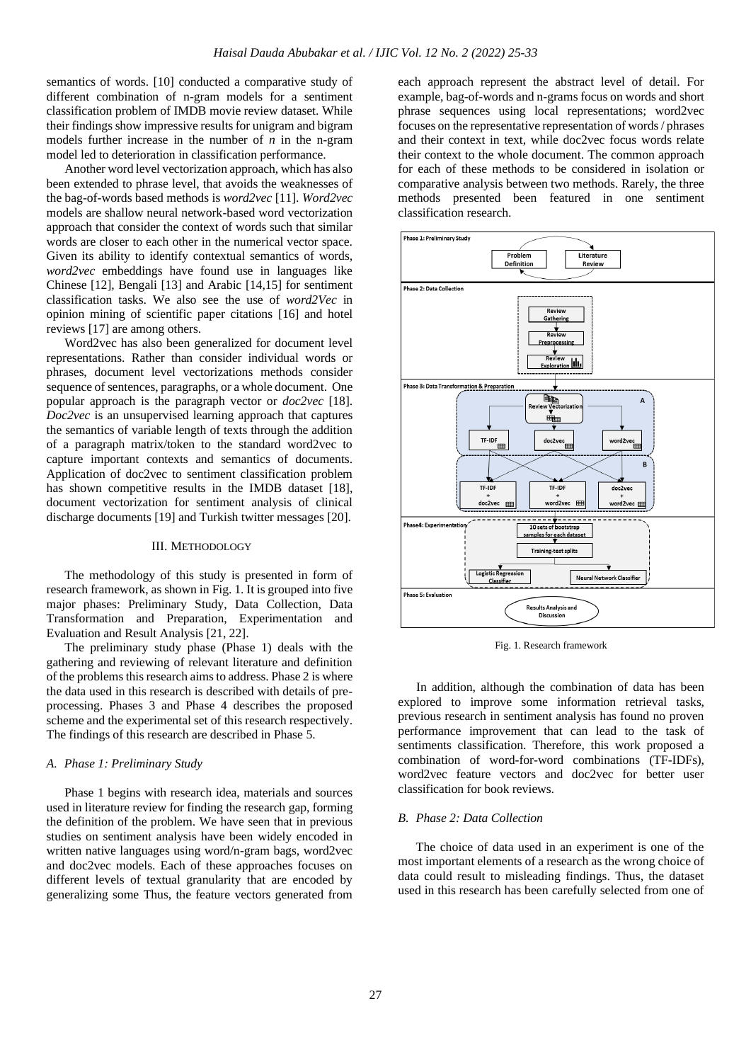semantics of words. [10] conducted a comparative study of different combination of n-gram models for a sentiment classification problem of IMDB movie review dataset. While their findings show impressive results for unigram and bigram models further increase in the number of *n* in the n-gram model led to deterioration in classification performance.

Another word level vectorization approach, which has also been extended to phrase level, that avoids the weaknesses of the bag-of-words based methods is *word2vec* [11]. *Word2vec* models are shallow neural network-based word vectorization approach that consider the context of words such that similar words are closer to each other in the numerical vector space. Given its ability to identify contextual semantics of words, *word2vec* embeddings have found use in languages like Chinese [12], Bengali [13] and Arabic [14,15] for sentiment classification tasks. We also see the use of *word2Vec* in opinion mining of scientific paper citations [16] and hotel reviews [17] are among others.

Word2vec has also been generalized for document level representations. Rather than consider individual words or phrases, document level vectorizations methods consider sequence of sentences, paragraphs, or a whole document. One popular approach is the paragraph vector or *doc2vec* [18]. *Doc2vec* is an unsupervised learning approach that captures the semantics of variable length of texts through the addition of a paragraph matrix/token to the standard word2vec to capture important contexts and semantics of documents. Application of doc2vec to sentiment classification problem has shown competitive results in the IMDB dataset [18], document vectorization for sentiment analysis of clinical discharge documents [19] and Turkish twitter messages [20].

## III. METHODOLOGY

The methodology of this study is presented in form of research framework, as shown in Fig. 1. It is grouped into five major phases: Preliminary Study, Data Collection, Data Transformation and Preparation, Experimentation and Evaluation and Result Analysis [21, 22].

The preliminary study phase (Phase 1) deals with the gathering and reviewing of relevant literature and definition of the problems this research aims to address. Phase 2 is where the data used in this research is described with details of preprocessing. Phases 3 and Phase 4 describes the proposed scheme and the experimental set of this research respectively. The findings of this research are described in Phase 5.

#### *A. Phase 1: Preliminary Study*

Phase 1 begins with research idea, materials and sources used in literature review for finding the research gap, forming the definition of the problem. We have seen that in previous studies on sentiment analysis have been widely encoded in written native languages using word/n-gram bags, word2vec and doc2vec models. Each of these approaches focuses on different levels of textual granularity that are encoded by generalizing some Thus, the feature vectors generated from each approach represent the abstract level of detail. For example, bag-of-words and n-grams focus on words and short phrase sequences using local representations; word2vec focuses on the representative representation of words / phrases and their context in text, while doc2vec focus words relate their context to the whole document. The common approach for each of these methods to be considered in isolation or comparative analysis between two methods. Rarely, the three methods presented been featured in one sentiment classification research.



Fig. 1. Research framework

In addition, although the combination of data has been explored to improve some information retrieval tasks, previous research in sentiment analysis has found no proven performance improvement that can lead to the task of sentiments classification. Therefore, this work proposed a combination of word-for-word combinations (TF-IDFs), word2vec feature vectors and doc2vec for better user classification for book reviews.

#### *B. Phase 2: Data Collection*

The choice of data used in an experiment is one of the most important elements of a research as the wrong choice of data could result to misleading findings. Thus, the dataset used in this research has been carefully selected from one of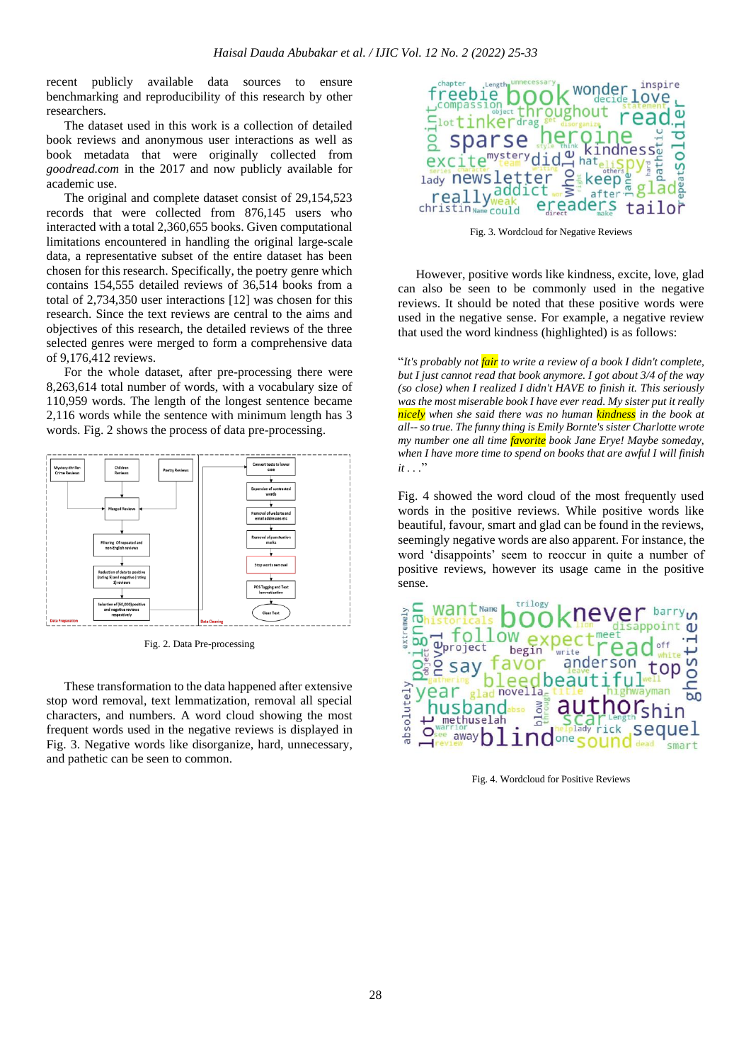recent publicly available data sources to ensure benchmarking and reproducibility of this research by other researchers.

The dataset used in this work is a collection of detailed book reviews and anonymous user interactions as well as book metadata that were originally collected from *goodread.com* in the 2017 and now publicly available for academic use.

The original and complete dataset consist of 29,154,523 records that were collected from 876,145 users who interacted with a total 2,360,655 books. Given computational limitations encountered in handling the original large-scale data, a representative subset of the entire dataset has been chosen for this research. Specifically, the poetry genre which contains 154,555 detailed reviews of 36,514 books from a total of 2,734,350 user interactions [12] was chosen for this research. Since the text reviews are central to the aims and objectives of this research, the detailed reviews of the three selected genres were merged to form a comprehensive data of 9,176,412 reviews.

For the whole dataset, after pre-processing there were 8,263,614 total number of words, with a vocabulary size of 110,959 words. The length of the longest sentence became 2,116 words while the sentence with minimum length has 3 words. Fig. 2 shows the process of data pre-processing.



Fig. 2. Data Pre-processing

These transformation to the data happened after extensive stop word removal, text lemmatization, removal all special characters, and numbers. A word cloud showing the most frequent words used in the negative reviews is displayed in Fig. 3. Negative words like disorganize, hard, unnecessary, and pathetic can be seen to common.



Fig. 3. Wordcloud for Negative Reviews

However, positive words like kindness, excite, love, glad can also be seen to be commonly used in the negative reviews. It should be noted that these positive words were used in the negative sense. For example, a negative review that used the word kindness (highlighted) is as follows:

"*It's probably not fair to write a review of a book I didn't complete, but I just cannot read that book anymore. I got about 3/4 of the way (so close) when I realized I didn't HAVE to finish it. This seriously was the most miserable book I have ever read. My sister put it really nicely when she said there was no human kindness in the book at all-- so true. The funny thing is Emily Bornte's sister Charlotte wrote my number one all time favorite book Jane Erye! Maybe someday, when I have more time to spend on books that are awful I will finish it . . .*"

Fig. 4 showed the word cloud of the most frequently used words in the positive reviews. While positive words like beautiful, favour, smart and glad can be found in the reviews, seemingly negative words are also apparent. For instance, the word 'disappoints' seem to reoccur in quite a number of positive reviews, however its usage came in the positive sense.



Fig. 4. Wordcloud for Positive Reviews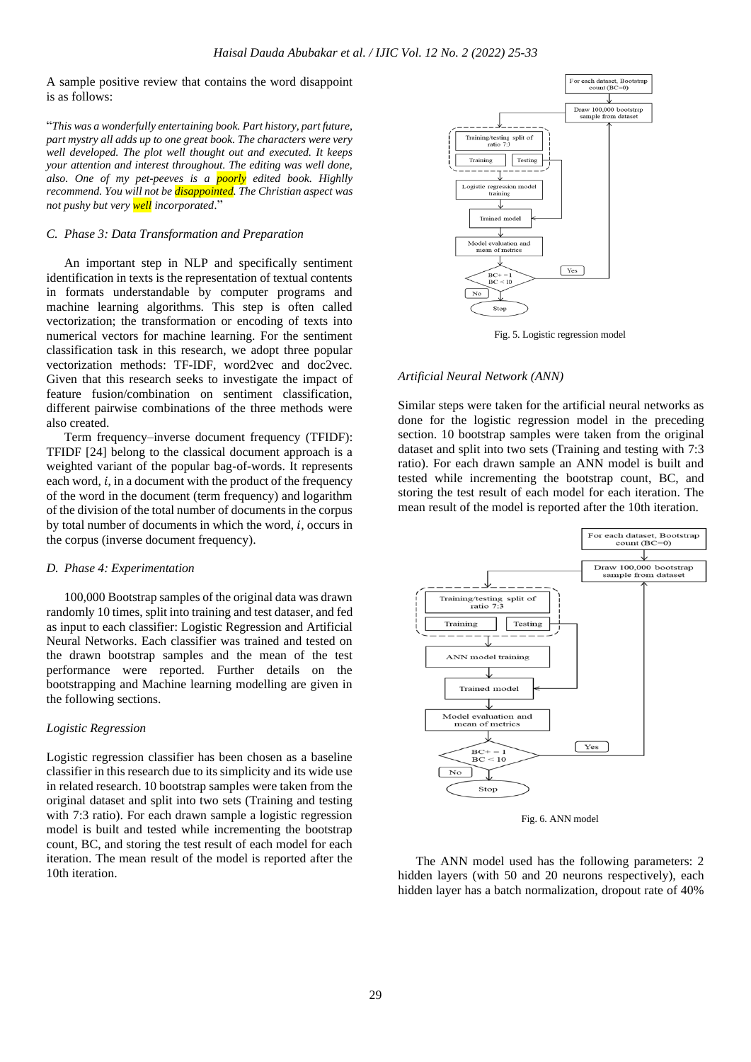A sample positive review that contains the word disappoint is as follows:

"*This was a wonderfully entertaining book. Part history, part future, part mystry all adds up to one great book. The characters were very well developed. The plot well thought out and executed. It keeps your attention and interest throughout. The editing was well done, also. One of my pet-peeves is a poorly edited book. Highlly recommend. You will not be disappointed. The Christian aspect was not pushy but very well incorporated*."

## *C. Phase 3: Data Transformation and Preparation*

An important step in NLP and specifically sentiment identification in texts is the representation of textual contents in formats understandable by computer programs and machine learning algorithms. This step is often called vectorization; the transformation or encoding of texts into numerical vectors for machine learning. For the sentiment classification task in this research, we adopt three popular vectorization methods: TF-IDF, word2vec and doc2vec. Given that this research seeks to investigate the impact of feature fusion/combination on sentiment classification, different pairwise combinations of the three methods were also created.

Term frequency–inverse document frequency (TFIDF): TFIDF [24] belong to the classical document approach is a weighted variant of the popular bag-of-words. It represents each word,  $i$ , in a document with the product of the frequency of the word in the document (term frequency) and logarithm of the division of the total number of documents in the corpus by total number of documents in which the word,  $i$ , occurs in the corpus (inverse document frequency).

#### *D. Phase 4: Experimentation*

100,000 Bootstrap samples of the original data was drawn randomly 10 times, split into training and test dataser, and fed as input to each classifier: Logistic Regression and Artificial Neural Networks. Each classifier was trained and tested on the drawn bootstrap samples and the mean of the test performance were reported. Further details on the bootstrapping and Machine learning modelling are given in the following sections.

## *Logistic Regression*

Logistic regression classifier has been chosen as a baseline classifier in this research due to its simplicity and its wide use in related research. 10 bootstrap samples were taken from the original dataset and split into two sets (Training and testing with 7:3 ratio). For each drawn sample a logistic regression model is built and tested while incrementing the bootstrap count, BC, and storing the test result of each model for each iteration. The mean result of the model is reported after the 10th iteration.



Fig. 5. Logistic regression model

#### *Artificial Neural Network (ANN)*

Similar steps were taken for the artificial neural networks as done for the logistic regression model in the preceding section. 10 bootstrap samples were taken from the original dataset and split into two sets (Training and testing with 7:3 ratio). For each drawn sample an ANN model is built and tested while incrementing the bootstrap count, BC, and storing the test result of each model for each iteration. The mean result of the model is reported after the 10th iteration.



Fig. 6. ANN model

The ANN model used has the following parameters: 2 hidden layers (with 50 and 20 neurons respectively), each hidden layer has a batch normalization, dropout rate of 40%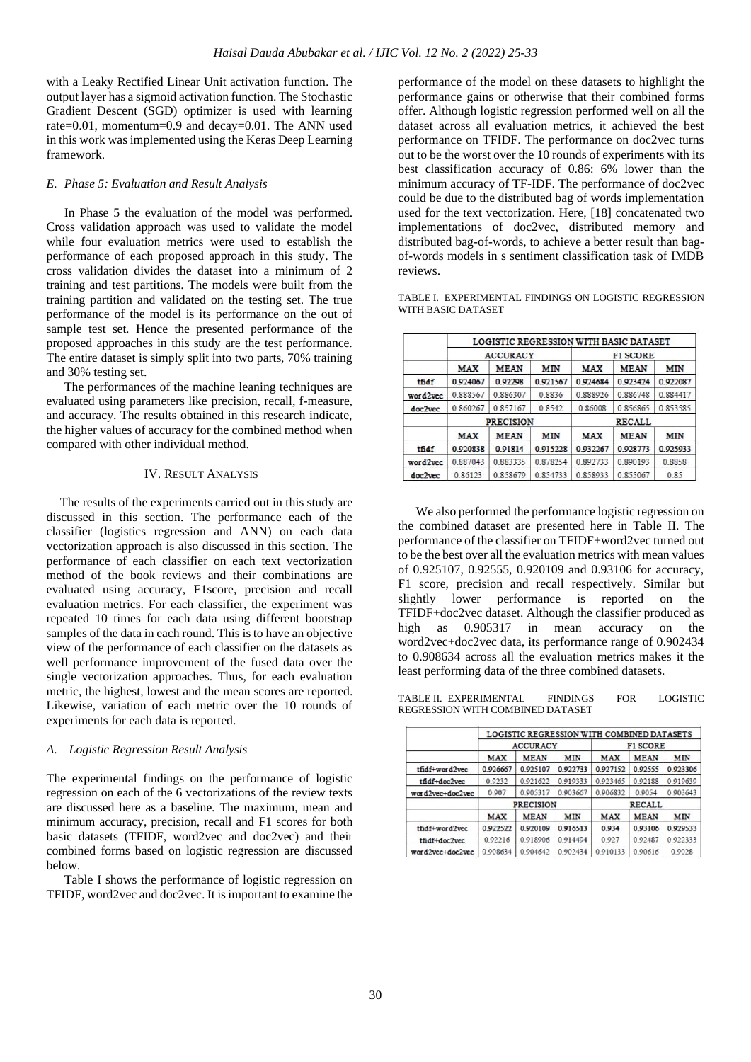with a Leaky Rectified Linear Unit activation function. The output layer has a sigmoid activation function. The Stochastic Gradient Descent (SGD) optimizer is used with learning rate=0.01, momentum=0.9 and decay=0.01. The ANN used in this work was implemented using the Keras Deep Learning framework.

## *E. Phase 5: Evaluation and Result Analysis*

In Phase 5 the evaluation of the model was performed. Cross validation approach was used to validate the model while four evaluation metrics were used to establish the performance of each proposed approach in this study. The cross validation divides the dataset into a minimum of 2 training and test partitions. The models were built from the training partition and validated on the testing set. The true performance of the model is its performance on the out of sample test set. Hence the presented performance of the proposed approaches in this study are the test performance. The entire dataset is simply split into two parts, 70% training and 30% testing set.

The performances of the machine leaning techniques are evaluated using parameters like precision, recall, f-measure, and accuracy. The results obtained in this research indicate, the higher values of accuracy for the combined method when compared with other individual method.

#### IV. RESULT ANALYSIS

The results of the experiments carried out in this study are discussed in this section. The performance each of the classifier (logistics regression and ANN) on each data vectorization approach is also discussed in this section. The performance of each classifier on each text vectorization method of the book reviews and their combinations are evaluated using accuracy, F1score, precision and recall evaluation metrics. For each classifier, the experiment was repeated 10 times for each data using different bootstrap samples of the data in each round. This is to have an objective view of the performance of each classifier on the datasets as well performance improvement of the fused data over the single vectorization approaches. Thus, for each evaluation metric, the highest, lowest and the mean scores are reported. Likewise, variation of each metric over the 10 rounds of experiments for each data is reported.

## *A. Logistic Regression Result Analysis*

The experimental findings on the performance of logistic regression on each of the 6 vectorizations of the review texts are discussed here as a baseline. The maximum, mean and minimum accuracy, precision, recall and F1 scores for both basic datasets (TFIDF, word2vec and doc2vec) and their combined forms based on logistic regression are discussed below.

Table I shows the performance of logistic regression on TFIDF, word2vec and doc2vec. It is important to examine the performance of the model on these datasets to highlight the performance gains or otherwise that their combined forms offer. Although logistic regression performed well on all the dataset across all evaluation metrics, it achieved the best performance on TFIDF. The performance on doc2vec turns out to be the worst over the 10 rounds of experiments with its best classification accuracy of 0.86: 6% lower than the minimum accuracy of TF-IDF. The performance of doc2vec could be due to the distributed bag of words implementation used for the text vectorization. Here, [18] concatenated two implementations of doc2vec, distributed memory and distributed bag-of-words, to achieve a better result than bagof-words models in s sentiment classification task of IMDB reviews.

TABLE I. EXPERIMENTAL FINDINGS ON LOGISTIC REGRESSION WITH BASIC DATASET

|          | <b>LOGISTIC REGRESSION WITH BASIC DATASET</b> |                 |            |                 |             |            |  |  |
|----------|-----------------------------------------------|-----------------|------------|-----------------|-------------|------------|--|--|
|          |                                               | <b>ACCURACY</b> |            | <b>F1 SCORE</b> |             |            |  |  |
|          | <b>MAX</b>                                    | <b>MEAN</b>     | <b>MIN</b> | <b>MAX</b>      | <b>MEAN</b> | <b>MIN</b> |  |  |
| tfidf    | 0.924067                                      | 0.92298         | 0.921567   | 0.924684        | 0.923424    | 0.922087   |  |  |
| word2vec | 0.888567                                      | 0.886307        | 0.8836     | 0.888926        | 0.886748    | 0.884417   |  |  |
| doc2vec  | 0.860267                                      | 0.857167        | 0.8542     | 0.86008         | 0.856865    | 0.853585   |  |  |
|          | <b>PRECISION</b>                              |                 |            | <b>RECALL</b>   |             |            |  |  |
|          | <b>MAX</b>                                    | <b>MEAN</b>     | <b>MIN</b> | <b>MAX</b>      | <b>MEAN</b> | <b>MIN</b> |  |  |
| tfidf    | 0.920838                                      | 0.91814         | 0.915228   | 0.932267        | 0.928773    | 0.925933   |  |  |
| word2vec | 0.887043                                      | 0883335         | 0.878254   | 0892733         | 0 890193    | 0.8858     |  |  |
| doc2vec  | 0.86123                                       | 0.858679        | 0.854733   | 0.858933        | 0.855067    | 0.85       |  |  |

We also performed the performance logistic regression on the combined dataset are presented here in Table II. The performance of the classifier on TFIDF+word2vec turned out to be the best over all the evaluation metrics with mean values of 0.925107, 0.92555, 0.920109 and 0.93106 for accuracy, F1 score, precision and recall respectively. Similar but slightly lower performance is reported on the TFIDF+doc2vec dataset. Although the classifier produced as high as  $0.905317$  in mean accuracy on the word2vec+doc2vec data, its performance range of 0.902434 to 0.908634 across all the evaluation metrics makes it the least performing data of the three combined datasets.

TABLE II. EXPERIMENTAL FINDINGS FOR LOGISTIC REGRESSION WITH COMBINED DATASET

|                  |                  | LOGISTIC REGRESSION WITH COMBINED DATASETS |            |                 |             |            |  |
|------------------|------------------|--------------------------------------------|------------|-----------------|-------------|------------|--|
|                  | <b>ACCURACY</b>  |                                            |            | <b>F1 SCORE</b> |             |            |  |
|                  | <b>MAX</b>       | <b>MEAN</b>                                | <b>MIN</b> | <b>MAX</b>      | <b>MEAN</b> | <b>MIN</b> |  |
| tfidf+word2vec   | 0.926667         | 0.925107                                   | 0.922733   | 0.927152        | 0.92555     | 0.923306   |  |
| tfidf+doc2vec    | 0.9232           | 0 921622                                   | 0.919333   | 0.923465        | 0.92188     | 0.919639   |  |
| word2vec+doc2vec | 0.907            | 0.905317                                   | 0.903667   | 0.906832        | 0.9054      | 0.903643   |  |
|                  | <b>PRECISION</b> |                                            |            | <b>RECALL</b>   |             |            |  |
|                  | <b>MAX</b>       | <b>MEAN</b>                                | <b>MIN</b> | <b>MAX</b>      | <b>MEAN</b> | <b>MIN</b> |  |
| tfidf+word2yec   | 0.922522         | 0.920109                                   | 0.916513   | 0.934           | 0.93106     | 0.929533   |  |
| tfidf+doc2vec    | 0 9 2 2 1 6      | 0.918906                                   | 0.914494   | 0.927           | 0.92487     | 0.922333   |  |
| word2vec+doc2vec | 0.908634         | 0.904642                                   | 0.902434   | 0.910133        | 0.90616     | 0.9028     |  |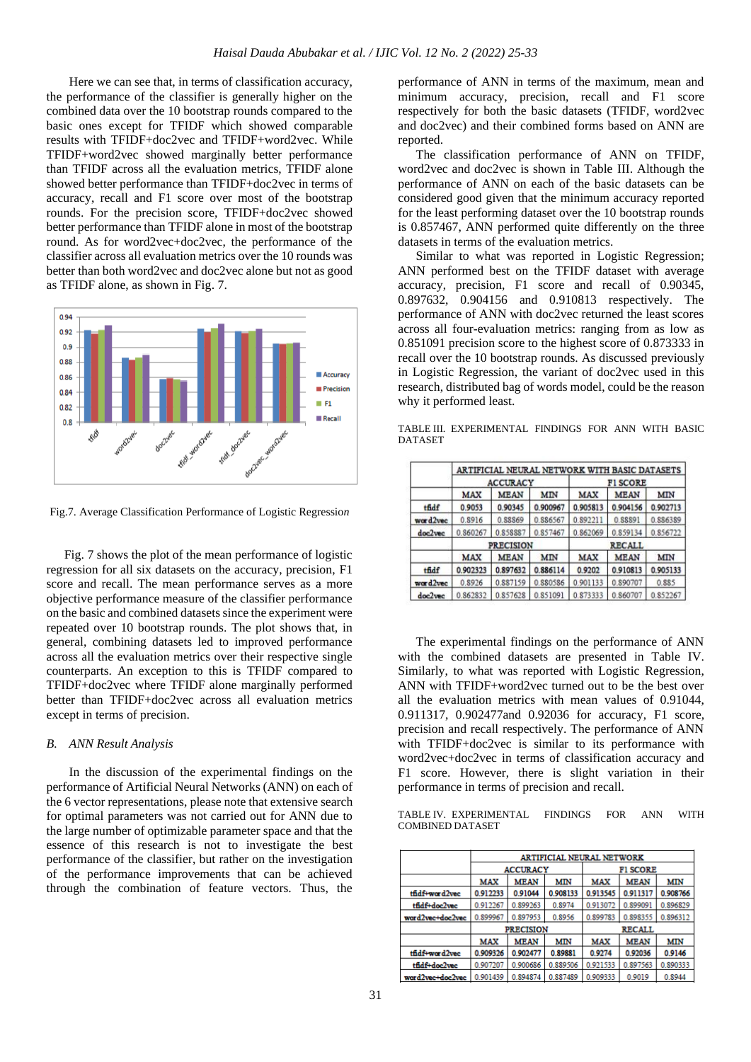Here we can see that, in terms of classification accuracy, the performance of the classifier is generally higher on the combined data over the 10 bootstrap rounds compared to the basic ones except for TFIDF which showed comparable results with TFIDF+doc2vec and TFIDF+word2vec. While TFIDF+word2vec showed marginally better performance than TFIDF across all the evaluation metrics, TFIDF alone showed better performance than TFIDF+doc2vec in terms of accuracy, recall and F1 score over most of the bootstrap rounds. For the precision score, TFIDF+doc2vec showed better performance than TFIDF alone in most of the bootstrap round. As for word2vec+doc2vec, the performance of the classifier across all evaluation metrics over the 10 rounds was better than both word2vec and doc2vec alone but not as good as TFIDF alone, as shown in Fig. 7.



Fig.7. Average Classification Performance of Logistic Regressio*n*

Fig. 7 shows the plot of the mean performance of logistic regression for all six datasets on the accuracy, precision, F1 score and recall. The mean performance serves as a more objective performance measure of the classifier performance on the basic and combined datasets since the experiment were repeated over 10 bootstrap rounds. The plot shows that, in general, combining datasets led to improved performance across all the evaluation metrics over their respective single counterparts. An exception to this is TFIDF compared to TFIDF+doc2vec where TFIDF alone marginally performed better than TFIDF+doc2vec across all evaluation metrics except in terms of precision.

#### *B. ANN Result Analysis*

In the discussion of the experimental findings on the performance of Artificial Neural Networks (ANN) on each of the 6 vector representations, please note that extensive search for optimal parameters was not carried out for ANN due to the large number of optimizable parameter space and that the essence of this research is not to investigate the best performance of the classifier, but rather on the investigation of the performance improvements that can be achieved through the combination of feature vectors. Thus, the

performance of ANN in terms of the maximum, mean and minimum accuracy, precision, recall and F1 score respectively for both the basic datasets (TFIDF, word2vec and doc2vec) and their combined forms based on ANN are reported.

The classification performance of ANN on TFIDF, word2vec and doc2vec is shown in Table III. Although the performance of ANN on each of the basic datasets can be considered good given that the minimum accuracy reported for the least performing dataset over the 10 bootstrap rounds is 0.857467, ANN performed quite differently on the three datasets in terms of the evaluation metrics.

Similar to what was reported in Logistic Regression; ANN performed best on the TFIDF dataset with average accuracy, precision, F1 score and recall of 0.90345, 0.897632, 0.904156 and 0.910813 respectively. The performance of ANN with doc2vec returned the least scores across all four-evaluation metrics: ranging from as low as 0.851091 precision score to the highest score of 0.873333 in recall over the 10 bootstrap rounds. As discussed previously in Logistic Regression, the variant of doc2vec used in this research, distributed bag of words model, could be the reason why it performed least.

TABLE III. EXPERIMENTAL FINDINGS FOR ANN WITH BASIC **DATASET** 

|          |                  |                 |              |                 | ARTIFICIAL NEURAL NETWORK WITH BASIC DATASETS |            |  |
|----------|------------------|-----------------|--------------|-----------------|-----------------------------------------------|------------|--|
|          |                  | <b>ACCURACY</b> |              | <b>FI SCORE</b> |                                               |            |  |
|          | <b>MAX</b>       | <b>MEAN</b>     | <b>MIN</b>   | <b>MAX</b>      | <b>MEAN</b>                                   | <b>MIN</b> |  |
| tfidf    | 0.9053           | 0.90345         | 0.900967     | 0.905813        | 0.904156                                      | 0.902713   |  |
| word2vec | 0.8916           | 0.88869         | 0.886567     | 0.892211        | 0.88891                                       | 0.886389   |  |
| doc2vec  | 0.860267         | 0.858887        | 0.857467     | 0.862069        | 0.859134                                      | 0.856722   |  |
|          | <b>PRECISION</b> |                 |              | <b>RECALL</b>   |                                               |            |  |
|          | <b>MAX</b>       | <b>MEAN</b>     | <b>MIN</b>   | <b>MAX</b>      | <b>MEAN</b>                                   | MIN        |  |
| tfidf    | 0.902323         | 0.897632        | 0.886114     | 0.9202          | 0.910813                                      | 0.905133   |  |
| word2vec | 0.8926           | 0.887159        | 0.880586     | 0.901133        | 0.890707                                      | 0.885      |  |
| doc2vec  | 0.862832         | 0.857628        | 851091<br>0. | 0.873333        | 0.860707                                      | 0.852267   |  |

The experimental findings on the performance of ANN with the combined datasets are presented in Table IV. Similarly, to what was reported with Logistic Regression, ANN with TFIDF+word2vec turned out to be the best over all the evaluation metrics with mean values of 0.91044, 0.911317, 0.902477and 0.92036 for accuracy, F1 score, precision and recall respectively. The performance of ANN with TFIDF+doc2vec is similar to its performance with word2vec+doc2vec in terms of classification accuracy and F1 score. However, there is slight variation in their performance in terms of precision and recall.

TABLE IV. EXPERIMENTAL FINDINGS FOR ANN WITH COMBINED DATASET

|                  | ARTIFICIAL NEURAL NETWORK |                 |          |                 |             |          |  |
|------------------|---------------------------|-----------------|----------|-----------------|-------------|----------|--|
|                  |                           | <b>ACCURACY</b> |          | <b>FI SCORE</b> |             |          |  |
|                  | <b>MAX</b>                | <b>MEAN</b>     | MIN      | <b>MAX</b>      | <b>MEAN</b> | MIN      |  |
| tfidf+word2vec   | 0.912233                  | 0.91044         | 0.908133 | 0.913545        | 0.911317    | 0.908766 |  |
| tfidf+doc2vec    | 0.912267                  | 0.899263        | 0.8974   | 0.913072        | 0.899091    | 0.896829 |  |
| word2vec+doc2vec | 0.899967                  | 0.897953        | 0.8956   | 0.899783        | 0.898355    | 0.896312 |  |
|                  | <b>PRECISION</b>          |                 |          | <b>RECALL</b>   |             |          |  |
|                  | <b>MAX</b>                | <b>MEAN</b>     | MIN      | <b>MAX</b>      | <b>MEAN</b> | MIN      |  |
| tfidf+word2vec   | 0.909326                  | 0.902477        | 0.89881  | 0.9274          | 0.92036     | 0.9146   |  |
| tfidf+doc2vec    | 0.907207                  | 0.900686        | 0.889506 | 0.921533        | 0.897563    | 0.890333 |  |
| word2vec+doc2vec | 0.901439                  | 0.894874        | 0.887489 | 0.909333        | 0.9019      | 0.8944   |  |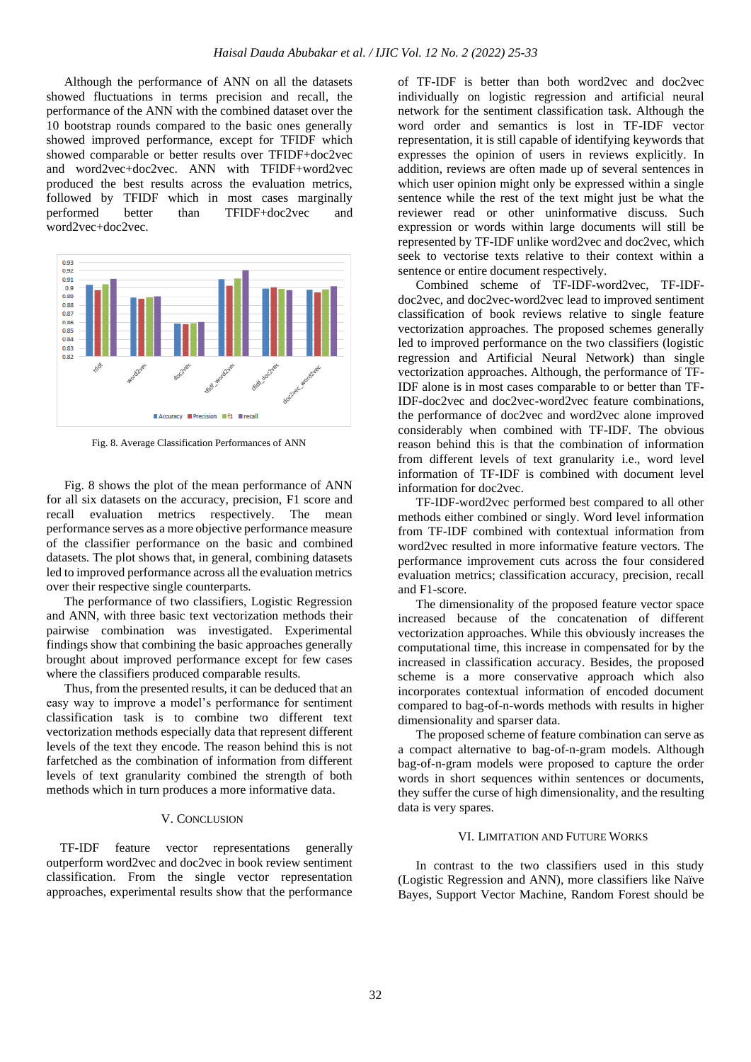Although the performance of ANN on all the datasets showed fluctuations in terms precision and recall, the performance of the ANN with the combined dataset over the 10 bootstrap rounds compared to the basic ones generally showed improved performance, except for TFIDF which showed comparable or better results over TFIDF+doc2vec and word2vec+doc2vec. ANN with TFIDF+word2vec produced the best results across the evaluation metrics, followed by TFIDF which in most cases marginally performed better than TFIDF+doc2vec and word2vec+doc2vec.



Fig. 8. Average Classification Performances of ANN

Fig. 8 shows the plot of the mean performance of ANN for all six datasets on the accuracy, precision, F1 score and recall evaluation metrics respectively. The mean performance serves as a more objective performance measure of the classifier performance on the basic and combined datasets. The plot shows that, in general, combining datasets led to improved performance across all the evaluation metrics over their respective single counterparts.

The performance of two classifiers, Logistic Regression and ANN, with three basic text vectorization methods their pairwise combination was investigated. Experimental findings show that combining the basic approaches generally brought about improved performance except for few cases where the classifiers produced comparable results.

Thus, from the presented results, it can be deduced that an easy way to improve a model's performance for sentiment classification task is to combine two different text vectorization methods especially data that represent different levels of the text they encode. The reason behind this is not farfetched as the combination of information from different levels of text granularity combined the strength of both methods which in turn produces a more informative data.

#### V. CONCLUSION

TF-IDF feature vector representations generally outperform word2vec and doc2vec in book review sentiment classification. From the single vector representation approaches, experimental results show that the performance

of TF-IDF is better than both word2vec and doc2vec individually on logistic regression and artificial neural network for the sentiment classification task. Although the word order and semantics is lost in TF-IDF vector representation, it is still capable of identifying keywords that expresses the opinion of users in reviews explicitly. In addition, reviews are often made up of several sentences in which user opinion might only be expressed within a single sentence while the rest of the text might just be what the reviewer read or other uninformative discuss. Such expression or words within large documents will still be represented by TF-IDF unlike word2vec and doc2vec, which seek to vectorise texts relative to their context within a sentence or entire document respectively.

Combined scheme of TF-IDF-word2vec, TF-IDFdoc2vec, and doc2vec-word2vec lead to improved sentiment classification of book reviews relative to single feature vectorization approaches. The proposed schemes generally led to improved performance on the two classifiers (logistic regression and Artificial Neural Network) than single vectorization approaches. Although, the performance of TF-IDF alone is in most cases comparable to or better than TF-IDF-doc2vec and doc2vec-word2vec feature combinations, the performance of doc2vec and word2vec alone improved considerably when combined with TF-IDF. The obvious reason behind this is that the combination of information from different levels of text granularity i.e., word level information of TF-IDF is combined with document level information for doc2vec.

TF-IDF-word2vec performed best compared to all other methods either combined or singly. Word level information from TF-IDF combined with contextual information from word2vec resulted in more informative feature vectors. The performance improvement cuts across the four considered evaluation metrics; classification accuracy, precision, recall and F1-score.

The dimensionality of the proposed feature vector space increased because of the concatenation of different vectorization approaches. While this obviously increases the computational time, this increase in compensated for by the increased in classification accuracy. Besides, the proposed scheme is a more conservative approach which also incorporates contextual information of encoded document compared to bag-of-n-words methods with results in higher dimensionality and sparser data.

The proposed scheme of feature combination can serve as a compact alternative to bag-of-n-gram models. Although bag-of-n-gram models were proposed to capture the order words in short sequences within sentences or documents, they suffer the curse of high dimensionality, and the resulting data is very spares.

## VI. LIMITATION AND FUTURE WORKS

In contrast to the two classifiers used in this study (Logistic Regression and ANN), more classifiers like Naïve Bayes, Support Vector Machine, Random Forest should be